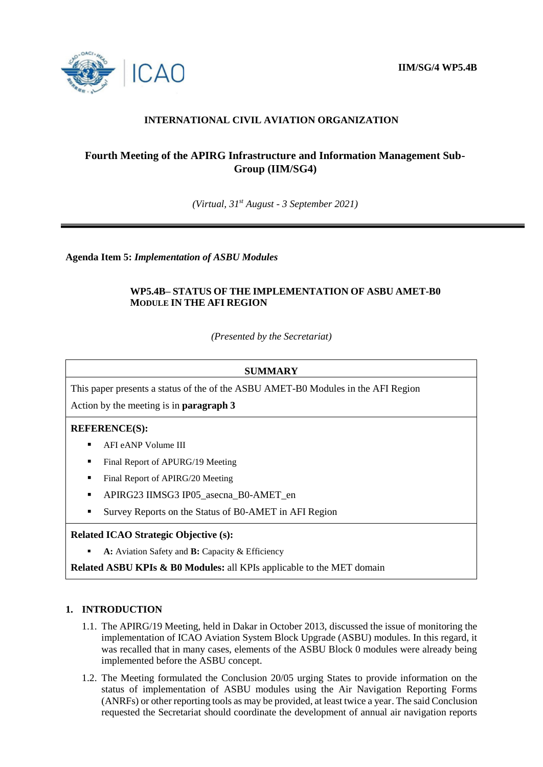

# **INTERNATIONAL CIVIL AVIATION ORGANIZATION**

# **Fourth Meeting of the APIRG Infrastructure and Information Management Sub-Group (IIM/SG4)**

*(Virtual, 31st August - 3 September 2021)*

**Agenda Item 5:** *Implementation of ASBU Modules* 

### **WP5.4B– STATUS OF THE IMPLEMENTATION OF ASBU AMET-B0 MODULE IN THE AFI REGION**

*(Presented by the Secretariat)*

#### **SUMMARY**

This paper presents a status of the of the ASBU AMET-B0 Modules in the AFI Region

Action by the meeting is in **paragraph 3**

#### **REFERENCE(S):**

- AFI eANP Volume III
- Final Report of APURG/19 Meeting
- Final Report of APIRG/20 Meeting
- APIRG23 IIMSG3 IP05\_asecna\_B0-AMET\_en
- Survey Reports on the Status of B0-AMET in AFI Region

#### **Related ICAO Strategic Objective (s):**

**A:** Aviation Safety and **B:** Capacity & Efficiency

**Related ASBU KPIs & B0 Modules:** all KPIs applicable to the MET domain

## **1. INTRODUCTION**

- 1.1. The APIRG/19 Meeting, held in Dakar in October 2013, discussed the issue of monitoring the implementation of ICAO Aviation System Block Upgrade (ASBU) modules. In this regard, it was recalled that in many cases, elements of the ASBU Block 0 modules were already being implemented before the ASBU concept.
- 1.2. The Meeting formulated the Conclusion 20/05 urging States to provide information on the status of implementation of ASBU modules using the Air Navigation Reporting Forms (ANRFs) or other reporting tools as may be provided, at least twice a year. The said Conclusion requested the Secretariat should coordinate the development of annual air navigation reports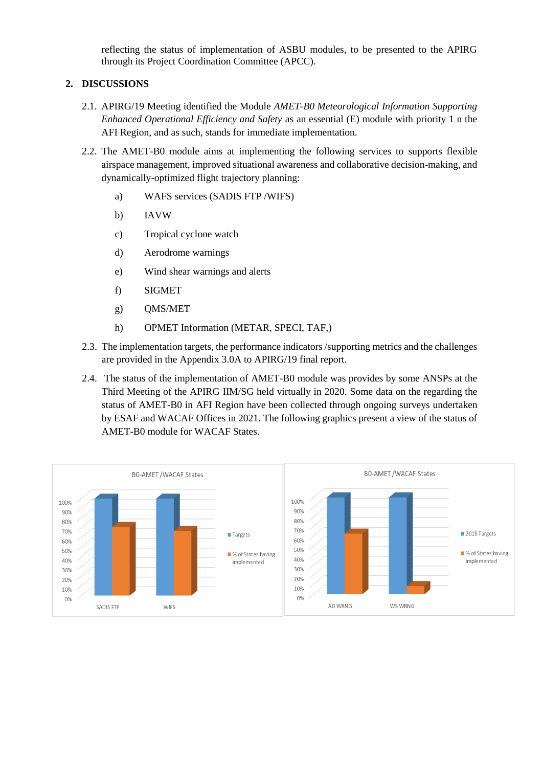reflecting the status of implementation of ASBU modules, to be presented to the APIRG through its Project Coordination Committee (APCC).

## **2. DISCUSSIONS**

- 2.1. APIRG/19 Meeting identified the Module *AMET-B0 Meteorological Information Supporting Enhanced Operational Efficiency and Safety* as an essential (E) module with priority 1 n the AFI Region, and as such, stands for immediate implementation.
- 2.2. The AMET-B0 module aims at implementing the following services to supports flexible airspace management, improved situational awareness and collaborative decision-making, and dynamically-optimized flight trajectory planning:
	- a) WAFS services (SADIS FTP /WIFS)
	- b) IAVW
	- c) Tropical cyclone watch
	- d) Aerodrome warnings
	- e) Wind shear warnings and alerts
	- f) SIGMET
	- g) QMS/MET
	- h) OPMET Information (METAR, SPECI, TAF,)
- 2.3. The implementation targets, the performance indicators /supporting metrics and the challenges are provided in the Appendix 3.0A to APIRG/19 final report.
- 2.4. The status of the implementation of AMET-B0 module was provides by some ANSPs at the Third Meeting of the APIRG IIM/SG held virtually in 2020. Some data on the regarding the status of AMET-B0 in AFI Region have been collected through ongoing surveys undertaken by ESAF and WACAF Offices in 2021. The following graphics present a view of the status of AMET-B0 module for WACAF States.